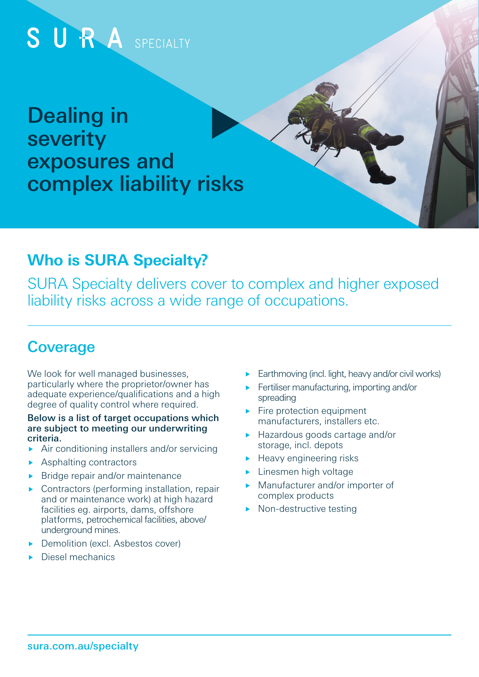

## **Who is SURA Specialty?**

SURA Specialty delivers cover to complex and higher exposed liability risks across a wide range of occupations.

# **Coverage**

We look for well managed businesses. particularly where the proprietor/owner has adequate experience/qualifications and a high degree of quality control where required.

#### Below is a list of target occupations which are subject to meeting our underwriting criteria.

- Air conditioning installers and/or servicing
- **Asphalting contractors**
- $\blacktriangleright$  Bridge repair and/or maintenance
- ▶ Contractors (performing installation, repair and or maintenance work) at high hazard facilities eg. airports, dams, offshore platforms, petrochemical facilities, above/ underground mines.
- Demolition (excl. Asbestos cover)
- Diesel mechanics
- Earthmoving (incl. light, heavy and/or civil works)
- Fertiliser manufacturing, importing and/or spreading
- $\blacktriangleright$  Fire protection equipment manufacturers, installers etc.
- ▶ Hazardous goods cartage and/or storage, incl. depots
- ▶ Heavy engineering risks
- **Linesmen high voltage**
- **Manufacturer and/or importer of** complex products
- $\triangleright$  Non-destructive testing